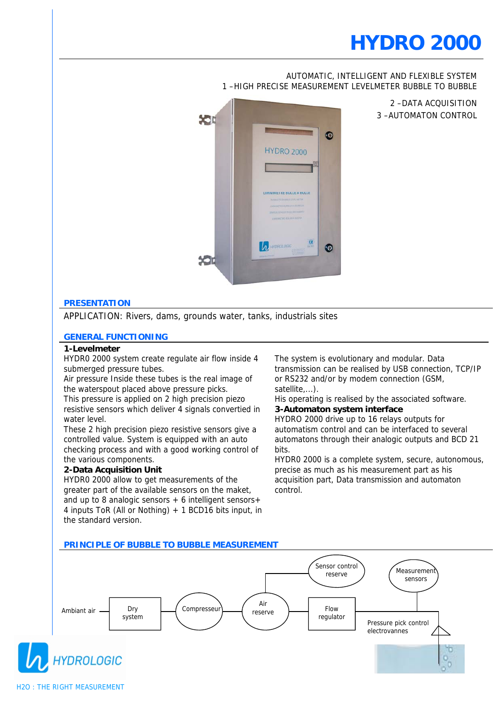### AUTOMATIC, INTELLIGENT AND FLEXIBLE SYSTEM 1 –HIGH PRECISE MEASUREMENT LEVELMETER BUBBLE TO BUBBLE



2 –DATA ACQUISITION 3 –AUTOMATON CONTROL

## **PRESENTATION**

APPLICATION: Rivers, dams, grounds water, tanks, industrials sites

#### **GENERAL FUNCTIONING**

#### **1-Levelmeter**

HYDR0 2000 system create regulate air flow inside 4 submerged pressure tubes.

Air pressure Inside these tubes is the real image of the waterspout placed above pressure picks.

This pressure is applied on 2 high precision piezo resistive sensors which deliver 4 signals convertied in water level.

These 2 high precision piezo resistive sensors give a controlled value. System is equipped with an auto checking process and with a good working control of the various components.

### **2-Data Acquisition Unit**

HYDR0 2000 allow to get measurements of the greater part of the available sensors on the maket, and up to 8 analogic sensors  $+6$  intelligent sensors $+$ 4 inputs ToR (All or Nothing) + 1 BCD16 bits input, in the standard version.

The system is evolutionary and modular. Data transmission can be realised by USB connection, TCP/IP or RS232 and/or by modem connection (GSM, satellite,...).

His operating is realised by the associated software. **3-Automaton system interface**

HYDRO 2000 drive up to 16 relays outputs for automatism control and can be interfaced to several automatons through their analogic outputs and BCD 21 bits.

HYDR0 2000 is a complete system, secure, autonomous, precise as much as his measurement part as his acquisition part, Data transmission and automaton control.

#### **PRINCIPLE OF BUBBLE TO BUBBLE MEASUREMENT**

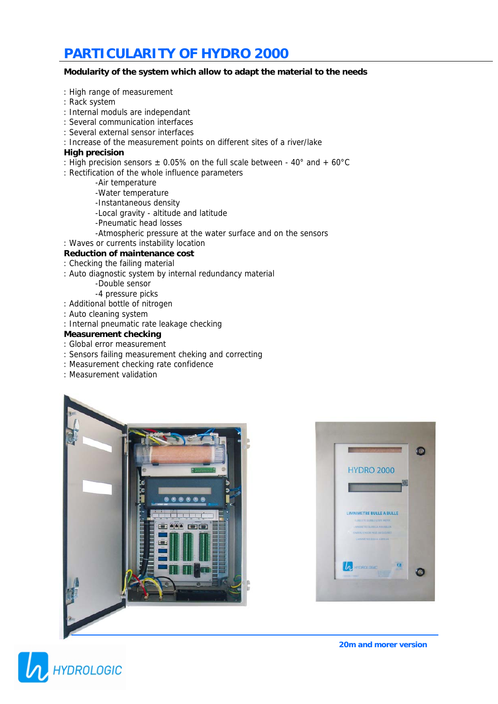# **PARTICULARITY OF HYDRO 2000**

### **Modularity of the system which allow to adapt the material to the needs**

- : High range of measurement
- : Rack system
- : Internal moduls are independant
- : Several communication interfaces
- : Several external sensor interfaces
- : Increase of the measurement points on different sites of a river/lake

### **High precision**

- : High precision sensors  $\pm$  0.05% on the full scale between 40° and + 60°C
- : Rectification of the whole influence parameters
	- -Air temperature
	- -Water temperature
	- -Instantaneous density
	- -Local gravity altitude and latitude
	- -Pneumatic head losses
	- -Atmospheric pressure at the water surface and on the sensors
- : Waves or currents instability location

### **Reduction of maintenance cost**

- : Checking the failing material
- : Auto diagnostic system by internal redundancy material
	- -Double sensor
	- -4 pressure picks
- : Additional bottle of nitrogen
- : Auto cleaning system
- : Internal pneumatic rate leakage checking

### **Measurement checking**

- : Global error measurement
- : Sensors failing measurement cheking and correcting
- : Measurement checking rate confidence
- : Measurement validation



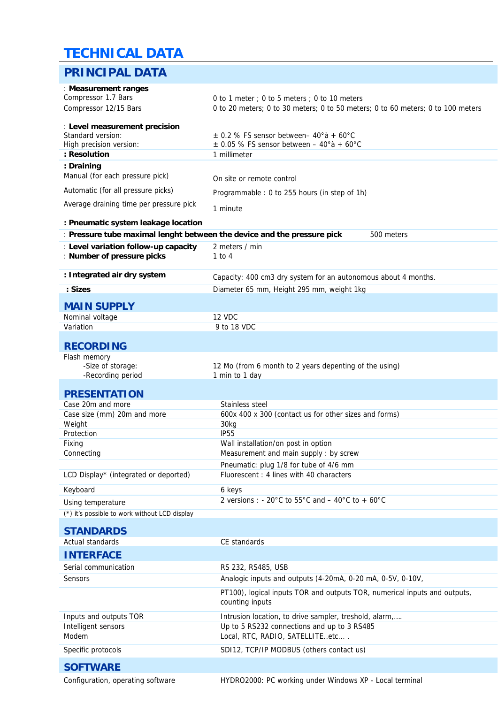# **PRINCIPAL DATA TECHNICAL DATA**

| PRINGIPAL DATA                                                                        |                                                                                                |
|---------------------------------------------------------------------------------------|------------------------------------------------------------------------------------------------|
| : Measurement ranges                                                                  |                                                                                                |
| Compressor 1.7 Bars                                                                   | 0 to 1 meter; 0 to 5 meters; 0 to 10 meters                                                    |
| Compressor 12/15 Bars                                                                 | 0 to 20 meters; 0 to 30 meters; 0 to 50 meters; 0 to 60 meters; 0 to 100 meters                |
| : Level measurement precision                                                         |                                                                                                |
| Standard version:                                                                     | $\pm$ 0.2 % FS sensor between - 40°a + 60°C                                                    |
| High precision version:                                                               | $\pm$ 0.05 % FS sensor between – 40° à + 60° C                                                 |
| : Resolution                                                                          | 1 millimeter                                                                                   |
| : Draining                                                                            |                                                                                                |
| Manual (for each pressure pick)                                                       | On site or remote control                                                                      |
| Automatic (for all pressure picks)                                                    | Programmable: 0 to 255 hours (in step of 1h)                                                   |
| Average draining time per pressure pick                                               | 1 minute                                                                                       |
| : Pneumatic system leakage location                                                   |                                                                                                |
| : Pressure tube maximal lenght between the device and the pressure pick<br>500 meters |                                                                                                |
| : Level variation follow-up capacity<br>: Number of pressure picks                    | 2 meters / min<br>$1$ to $4$                                                                   |
| : Integrated air dry system                                                           | Capacity: 400 cm3 dry system for an autonomous about 4 months.                                 |
| : Sizes                                                                               | Diameter 65 mm, Height 295 mm, weight 1kg                                                      |
| <b>MAIN SUPPLY</b>                                                                    |                                                                                                |
| Nominal voltage                                                                       | 12 VDC                                                                                         |
| Variation                                                                             | 9 to 18 VDC                                                                                    |
|                                                                                       |                                                                                                |
| <b>RECORDING</b>                                                                      |                                                                                                |
| Flash memory<br>-Size of storage:<br>-Recording period                                | 12 Mo (from 6 month to 2 years depenting of the using)<br>1 min to 1 day                       |
|                                                                                       |                                                                                                |
| <b>PRESENTATION</b>                                                                   |                                                                                                |
| Case 20m and more<br>Case size (mm) 20m and more                                      | Stainless steel<br>600x 400 x 300 (contact us for other sizes and forms)                       |
| Weight                                                                                | 30kg                                                                                           |
| Protection                                                                            | <b>IP55</b>                                                                                    |
| Fixing                                                                                | Wall installation/on post in option                                                            |
| Connecting                                                                            | Measurement and main supply : by screw                                                         |
|                                                                                       | Pneumatic: plug 1/8 for tube of 4/6 mm                                                         |
| LCD Display* (integrated or deported)                                                 | Fluorescent: 4 lines with 40 characters                                                        |
| Keyboard                                                                              | 6 keys                                                                                         |
| Using temperature                                                                     | 2 versions : - 20 $^{\circ}$ C to 55 $^{\circ}$ C and $-$ 40 $^{\circ}$ C to + 60 $^{\circ}$ C |
| (*) it's possible to work without LCD display                                         |                                                                                                |
|                                                                                       |                                                                                                |
| <b>STANDARDS</b><br><b>Actual standards</b>                                           | CE standards                                                                                   |
|                                                                                       |                                                                                                |
| <b>INTERFACE</b>                                                                      |                                                                                                |
| Serial communication                                                                  | RS 232, RS485, USB                                                                             |
| Sensors                                                                               | Analogic inputs and outputs (4-20mA, 0-20 mA, 0-5V, 0-10V,                                     |
|                                                                                       | PT100), logical inputs TOR and outputs TOR, numerical inputs and outputs,<br>counting inputs   |
| Inputs and outputs TOR                                                                | Intrusion location, to drive sampler, treshold, alarm,                                         |
| Intelligent sensors                                                                   | Up to 5 RS232 connections and up to 3 RS485                                                    |
| Modem                                                                                 | Local, RTC, RADIO, SATELLITEetc                                                                |
| Specific protocols                                                                    | SDI12, TCP/IP MODBUS (others contact us)                                                       |
| <b>SOFTWARE</b>                                                                       |                                                                                                |
|                                                                                       |                                                                                                |